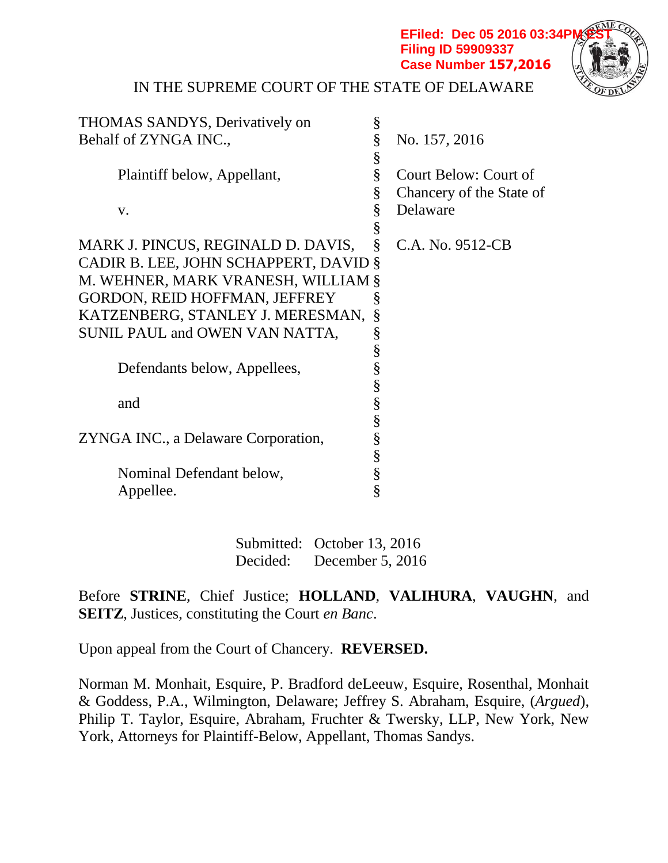**EFiled: Dec 05 2016 03:34PI Filing ID 59909337 Case Number 157,2016**



IN THE SUPREME COURT OF THE STATE OF DELAWARE

| <b>THOMAS SANDYS, Derivatively on</b> | §                     |                          |
|---------------------------------------|-----------------------|--------------------------|
| Behalf of ZYNGA INC.,                 | §                     | No. 157, 2016            |
|                                       | §                     |                          |
| Plaintiff below, Appellant,           | §                     | Court Below: Court of    |
|                                       | §                     | Chancery of the State of |
| V.                                    | §                     | Delaware                 |
|                                       | §                     |                          |
| MARK J. PINCUS, REGINALD D. DAVIS,    | §                     | C.A. No. 9512-CB         |
| CADIR B. LEE, JOHN SCHAPPERT, DAVID § |                       |                          |
| M. WEHNER, MARK VRANESH, WILLIAM §    |                       |                          |
| <b>GORDON, REID HOFFMAN, JEFFREY</b>  | §                     |                          |
| KATZENBERG, STANLEY J. MERESMAN,      | §                     |                          |
| SUNIL PAUL and OWEN VAN NATTA,        | §                     |                          |
|                                       | §                     |                          |
| Defendants below, Appellees,          | §                     |                          |
|                                       |                       |                          |
| and                                   | §<br>§<br>§           |                          |
|                                       |                       |                          |
| ZYNGA INC., a Delaware Corporation,   |                       |                          |
|                                       |                       |                          |
| Nominal Defendant below,              | S<br>S<br>S<br>S<br>S |                          |
| Appellee.                             |                       |                          |
|                                       |                       |                          |

Submitted: October 13, 2016 Decided: December 5, 2016

Before **STRINE**, Chief Justice; **HOLLAND**, **VALIHURA**, **VAUGHN**, and **SEITZ**, Justices, constituting the Court *en Banc*.

Upon appeal from the Court of Chancery. **REVERSED.**

Norman M. Monhait, Esquire, P. Bradford deLeeuw, Esquire, Rosenthal, Monhait & Goddess, P.A., Wilmington, Delaware; Jeffrey S. Abraham, Esquire, (*Argued*), Philip T. Taylor, Esquire, Abraham, Fruchter & Twersky, LLP, New York, New York, Attorneys for Plaintiff-Below, Appellant, Thomas Sandys.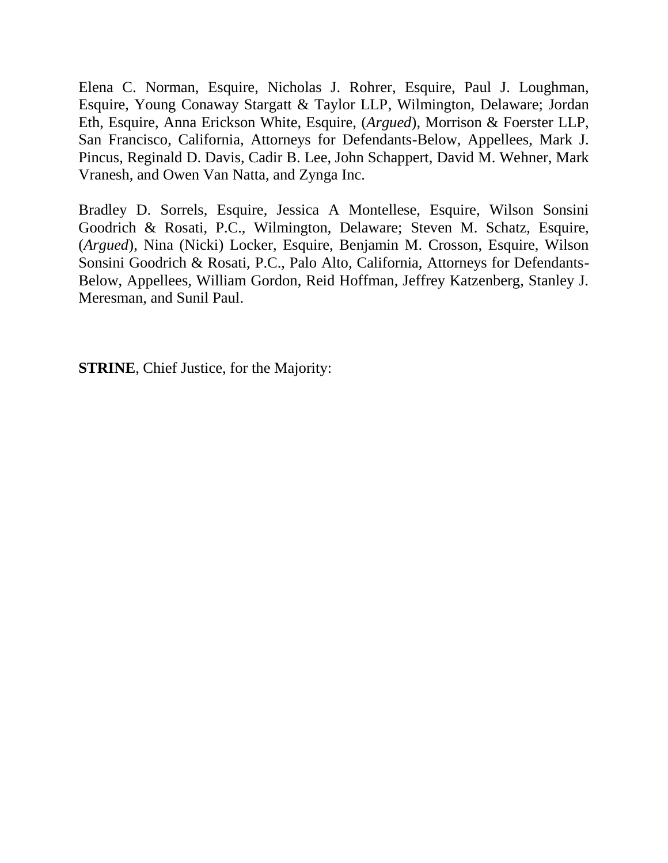Elena C. Norman, Esquire, Nicholas J. Rohrer, Esquire, Paul J. Loughman, Esquire, Young Conaway Stargatt & Taylor LLP, Wilmington, Delaware; Jordan Eth, Esquire, Anna Erickson White, Esquire, (*Argued*), Morrison & Foerster LLP, San Francisco, California, Attorneys for Defendants-Below, Appellees, Mark J. Pincus, Reginald D. Davis, Cadir B. Lee, John Schappert, David M. Wehner, Mark Vranesh, and Owen Van Natta, and Zynga Inc.

Bradley D. Sorrels, Esquire, Jessica A Montellese, Esquire, Wilson Sonsini Goodrich & Rosati, P.C., Wilmington, Delaware; Steven M. Schatz, Esquire, (*Argued*), Nina (Nicki) Locker, Esquire, Benjamin M. Crosson, Esquire, Wilson Sonsini Goodrich & Rosati, P.C., Palo Alto, California, Attorneys for Defendants-Below, Appellees, William Gordon, Reid Hoffman, Jeffrey Katzenberg, Stanley J. Meresman, and Sunil Paul.

**STRINE**, Chief Justice, for the Majority: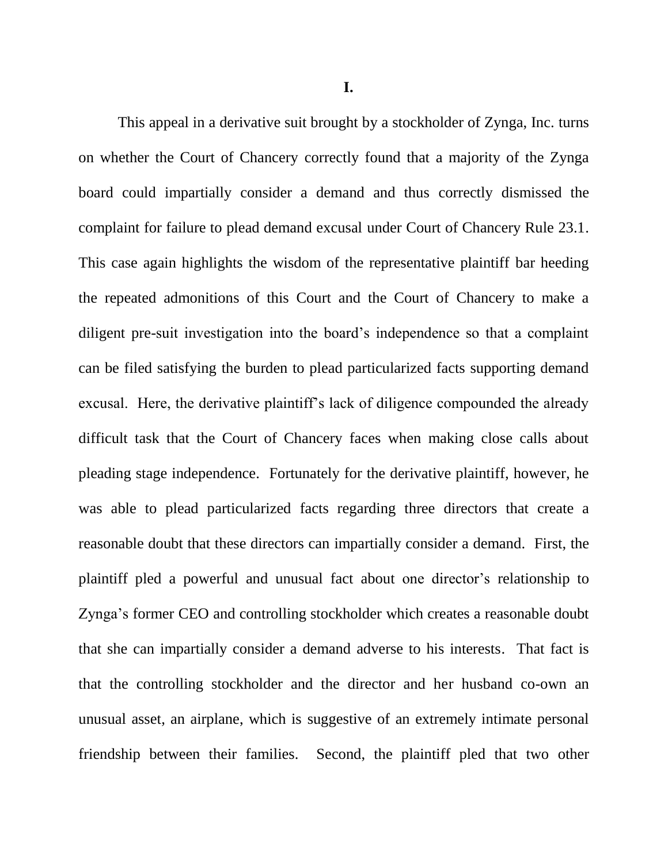**I.**

This appeal in a derivative suit brought by a stockholder of Zynga, Inc. turns on whether the Court of Chancery correctly found that a majority of the Zynga board could impartially consider a demand and thus correctly dismissed the complaint for failure to plead demand excusal under Court of Chancery Rule 23.1. This case again highlights the wisdom of the representative plaintiff bar heeding the repeated admonitions of this Court and the Court of Chancery to make a diligent pre-suit investigation into the board's independence so that a complaint can be filed satisfying the burden to plead particularized facts supporting demand excusal. Here, the derivative plaintiff's lack of diligence compounded the already difficult task that the Court of Chancery faces when making close calls about pleading stage independence. Fortunately for the derivative plaintiff, however, he was able to plead particularized facts regarding three directors that create a reasonable doubt that these directors can impartially consider a demand. First, the plaintiff pled a powerful and unusual fact about one director's relationship to Zynga's former CEO and controlling stockholder which creates a reasonable doubt that she can impartially consider a demand adverse to his interests. That fact is that the controlling stockholder and the director and her husband co-own an unusual asset, an airplane, which is suggestive of an extremely intimate personal friendship between their families. Second, the plaintiff pled that two other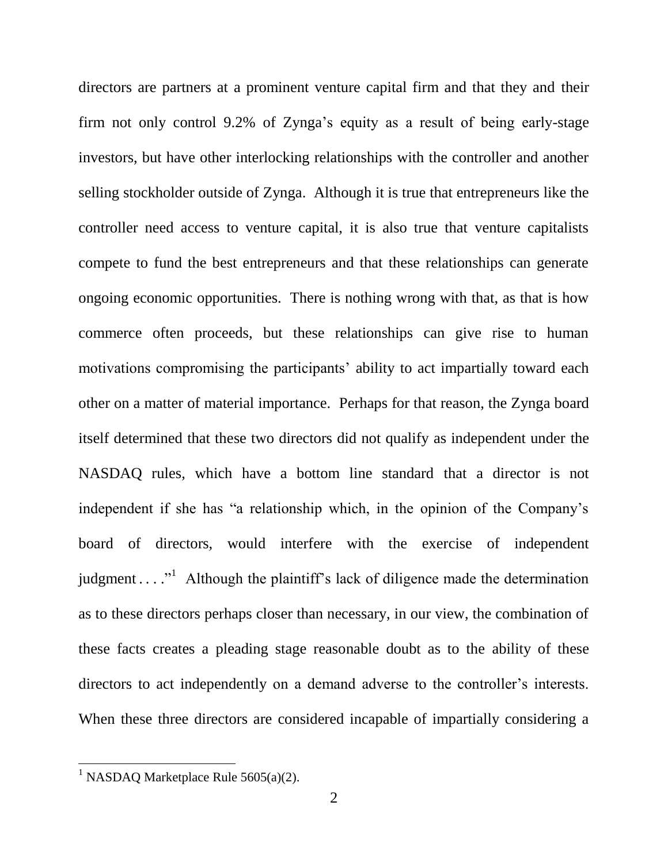directors are partners at a prominent venture capital firm and that they and their firm not only control 9.2% of Zynga's equity as a result of being early-stage investors, but have other interlocking relationships with the controller and another selling stockholder outside of Zynga. Although it is true that entrepreneurs like the controller need access to venture capital, it is also true that venture capitalists compete to fund the best entrepreneurs and that these relationships can generate ongoing economic opportunities. There is nothing wrong with that, as that is how commerce often proceeds, but these relationships can give rise to human motivations compromising the participants' ability to act impartially toward each other on a matter of material importance. Perhaps for that reason, the Zynga board itself determined that these two directors did not qualify as independent under the NASDAQ rules, which have a bottom line standard that a director is not independent if she has "a relationship which, in the opinion of the Company's board of directors, would interfere with the exercise of independent judgment . . . ."<sup>1</sup> Although the plaintiff's lack of diligence made the determination as to these directors perhaps closer than necessary, in our view, the combination of these facts creates a pleading stage reasonable doubt as to the ability of these directors to act independently on a demand adverse to the controller's interests. When these three directors are considered incapable of impartially considering a

<sup>&</sup>lt;sup>1</sup> NASDAQ Marketplace Rule  $5605(a)(2)$ .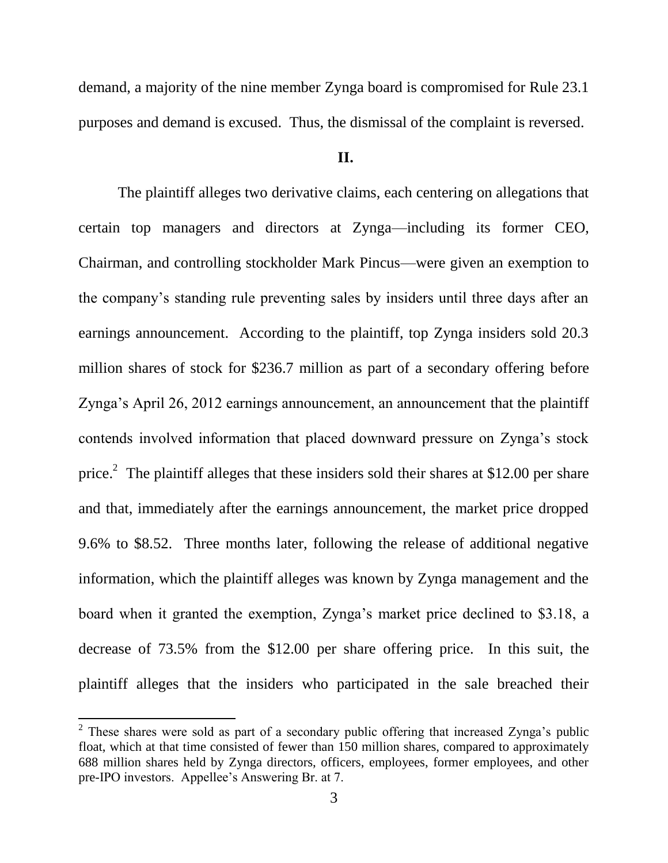demand, a majority of the nine member Zynga board is compromised for Rule 23.1 purposes and demand is excused. Thus, the dismissal of the complaint is reversed.

## **II.**

The plaintiff alleges two derivative claims, each centering on allegations that certain top managers and directors at Zynga—including its former CEO, Chairman, and controlling stockholder Mark Pincus—were given an exemption to the company's standing rule preventing sales by insiders until three days after an earnings announcement. According to the plaintiff, top Zynga insiders sold 20.3 million shares of stock for \$236.7 million as part of a secondary offering before Zynga's April 26, 2012 earnings announcement, an announcement that the plaintiff contends involved information that placed downward pressure on Zynga's stock price.<sup>2</sup> The plaintiff alleges that these insiders sold their shares at \$12.00 per share and that, immediately after the earnings announcement, the market price dropped 9.6% to \$8.52. Three months later, following the release of additional negative information, which the plaintiff alleges was known by Zynga management and the board when it granted the exemption, Zynga's market price declined to \$3.18, a decrease of 73.5% from the \$12.00 per share offering price. In this suit, the plaintiff alleges that the insiders who participated in the sale breached their

 $2$  These shares were sold as part of a secondary public offering that increased Zynga's public float, which at that time consisted of fewer than 150 million shares, compared to approximately 688 million shares held by Zynga directors, officers, employees, former employees, and other pre-IPO investors. Appellee's Answering Br. at 7.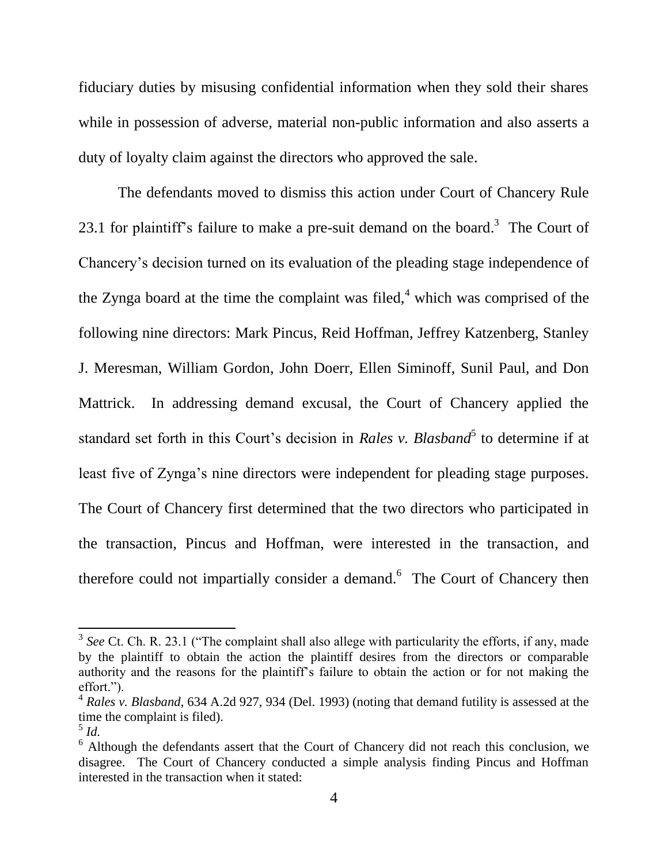fiduciary duties by misusing confidential information when they sold their shares while in possession of adverse, material non-public information and also asserts a duty of loyalty claim against the directors who approved the sale.

The defendants moved to dismiss this action under Court of Chancery Rule 23.1 for plaintiff's failure to make a pre-suit demand on the board.<sup>3</sup> The Court of Chancery's decision turned on its evaluation of the pleading stage independence of the Zynga board at the time the complaint was filed, $4$  which was comprised of the following nine directors: Mark Pincus, Reid Hoffman, Jeffrey Katzenberg, Stanley J. Meresman, William Gordon, John Doerr, Ellen Siminoff, Sunil Paul, and Don Mattrick. In addressing demand excusal, the Court of Chancery applied the standard set forth in this Court's decision in *Rales v. Blasband*<sup>5</sup> to determine if at least five of Zynga's nine directors were independent for pleading stage purposes. The Court of Chancery first determined that the two directors who participated in the transaction, Pincus and Hoffman, were interested in the transaction, and therefore could not impartially consider a demand.<sup>6</sup> The Court of Chancery then

<sup>&</sup>lt;sup>3</sup> See Ct. Ch. R. 23.1 ("The complaint shall also allege with particularity the efforts, if any, made by the plaintiff to obtain the action the plaintiff desires from the directors or comparable authority and the reasons for the plaintiff's failure to obtain the action or for not making the effort.").

<sup>4</sup> *Rales v. Blasband*, 634 A.2d 927, 934 (Del. 1993) (noting that demand futility is assessed at the time the complaint is filed).

<sup>5</sup> *Id.* 

 $6$  Although the defendants assert that the Court of Chancery did not reach this conclusion, we disagree. The Court of Chancery conducted a simple analysis finding Pincus and Hoffman interested in the transaction when it stated: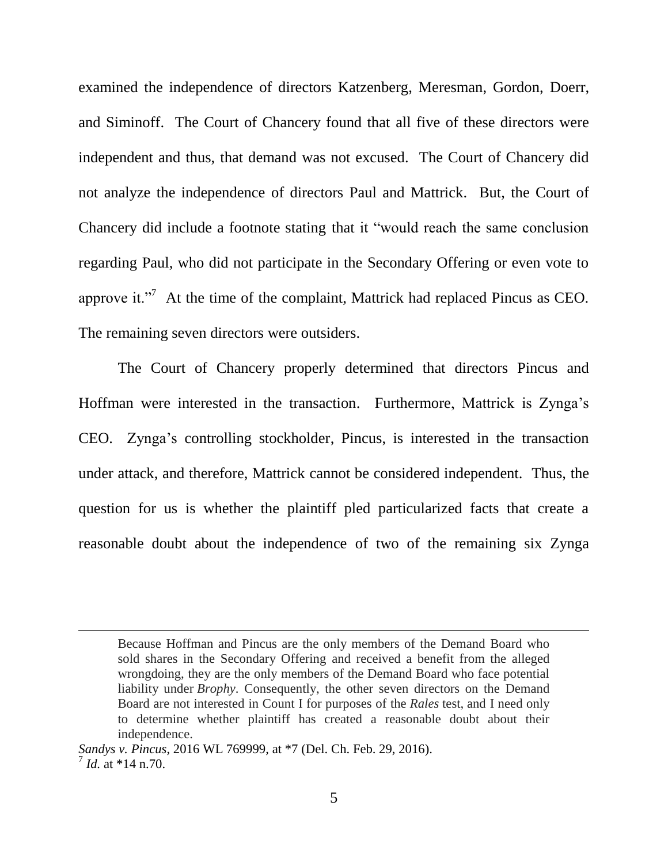examined the independence of directors Katzenberg, Meresman, Gordon, Doerr, and Siminoff. The Court of Chancery found that all five of these directors were independent and thus, that demand was not excused. The Court of Chancery did not analyze the independence of directors Paul and Mattrick. But, the Court of Chancery did include a footnote stating that it "would reach the same conclusion regarding Paul, who did not participate in the Secondary Offering or even vote to approve it."<sup>7</sup> At the time of the complaint, Mattrick had replaced Pincus as CEO. The remaining seven directors were outsiders.

The Court of Chancery properly determined that directors Pincus and Hoffman were interested in the transaction. Furthermore, Mattrick is Zynga's CEO. Zynga's controlling stockholder, Pincus, is interested in the transaction under attack, and therefore, Mattrick cannot be considered independent. Thus, the question for us is whether the plaintiff pled particularized facts that create a reasonable doubt about the independence of two of the remaining six Zynga

Because Hoffman and Pincus are the only members of the Demand Board who sold shares in the Secondary Offering and received a benefit from the alleged wrongdoing, they are the only members of the Demand Board who face potential liability under *Brophy*. Consequently, the other seven directors on the Demand Board are not interested in Count I for purposes of the *Rales* test, and I need only to determine whether plaintiff has created a reasonable doubt about their independence.

*Sandys v. Pincus*, 2016 WL 769999, at \*7 (Del. Ch. Feb. 29, 2016). 7 *Id.* at \*14 n.70.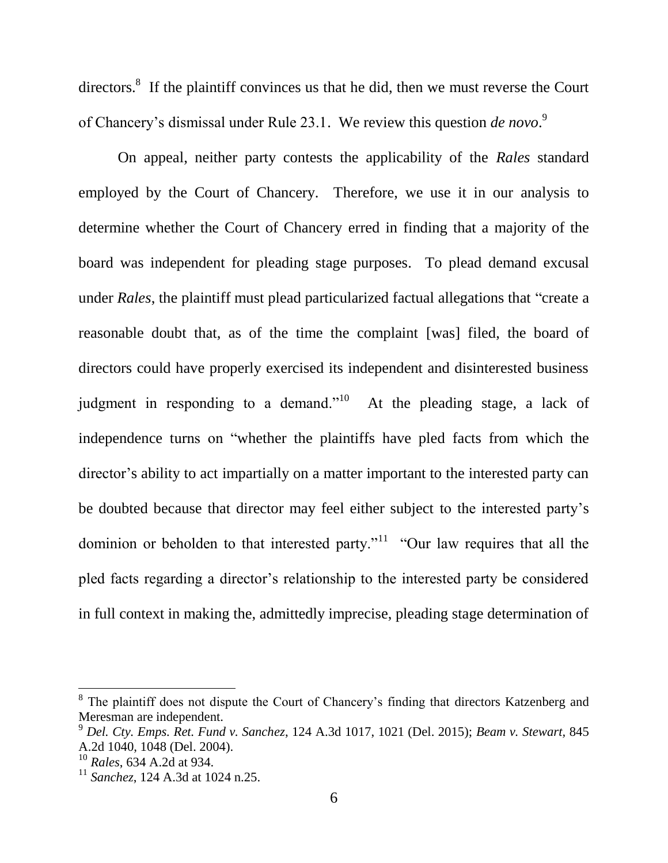directors.<sup>8</sup> If the plaintiff convinces us that he did, then we must reverse the Court of Chancery's dismissal under Rule 23.1. We review this question *de novo*. 9

On appeal, neither party contests the applicability of the *Rales* standard employed by the Court of Chancery. Therefore, we use it in our analysis to determine whether the Court of Chancery erred in finding that a majority of the board was independent for pleading stage purposes. To plead demand excusal under *Rales*, the plaintiff must plead particularized factual allegations that "create a reasonable doubt that, as of the time the complaint [was] filed, the board of directors could have properly exercised its independent and disinterested business judgment in responding to a demand."<sup>10</sup> At the pleading stage, a lack of independence turns on "whether the plaintiffs have pled facts from which the director's ability to act impartially on a matter important to the interested party can be doubted because that director may feel either subject to the interested party's dominion or beholden to that interested party."<sup>11</sup> "Our law requires that all the pled facts regarding a director's relationship to the interested party be considered in full context in making the, admittedly imprecise, pleading stage determination of

<sup>&</sup>lt;sup>8</sup> The plaintiff does not dispute the Court of Chancery's finding that directors Katzenberg and Meresman are independent.

<sup>9</sup> *Del. Cty. Emps. Ret. Fund v. Sanchez*, 124 A.3d 1017, 1021 (Del. 2015); *Beam v. Stewart,* 845 A.2d 1040, 1048 (Del. 2004).

<sup>10</sup> *Rales*, 634 A.2d at 934.

<sup>11</sup> *Sanchez*, 124 A.3d at 1024 n.25.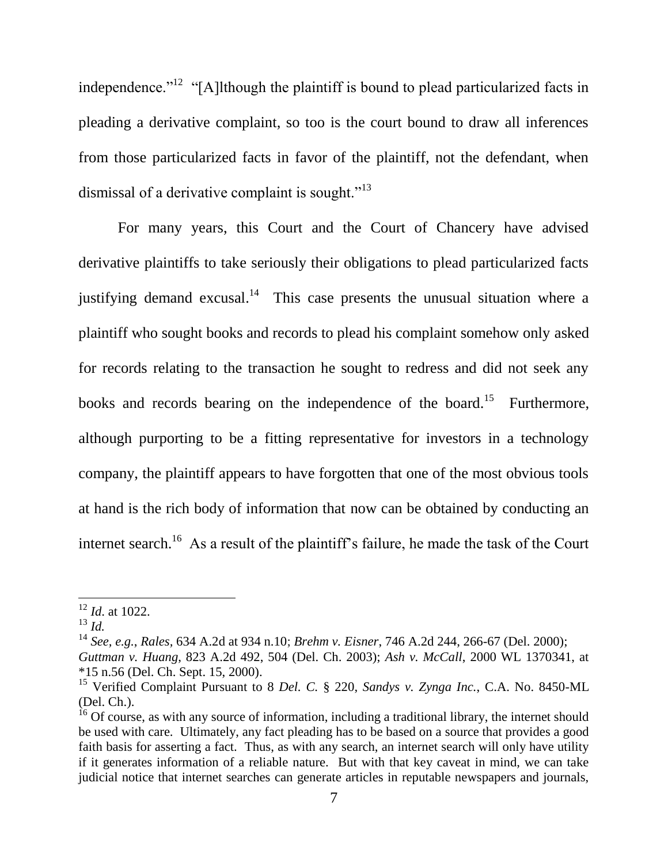independence.<sup> $12$ </sup> "[A]lthough the plaintiff is bound to plead particularized facts in pleading a derivative complaint, so too is the court bound to draw all inferences from those particularized facts in favor of the plaintiff, not the defendant, when dismissal of a derivative complaint is sought. $"^{13}$ 

For many years, this Court and the Court of Chancery have advised derivative plaintiffs to take seriously their obligations to plead particularized facts justifying demand excusal.<sup>14</sup> This case presents the unusual situation where a plaintiff who sought books and records to plead his complaint somehow only asked for records relating to the transaction he sought to redress and did not seek any books and records bearing on the independence of the board.<sup>15</sup> Furthermore, although purporting to be a fitting representative for investors in a technology company, the plaintiff appears to have forgotten that one of the most obvious tools at hand is the rich body of information that now can be obtained by conducting an internet search.<sup>16</sup> As a result of the plaintiff's failure, he made the task of the Court

<sup>12</sup> *Id*. at 1022.

<sup>13</sup> *Id.*

<sup>14</sup> *See, e.g.*, *Rales,* [634 A.2d at 934 n.10;](https://1.next.westlaw.com/Link/Document/FullText?findType=Y&serNum=1993245025&pubNum=0000162&originatingDoc=Ic1da0b0074c111e48c09e471b722858c&refType=RP&fi=co_pp_sp_162_934&originationContext=document&transitionType=DocumentItem&contextData=(sc.Search)#co_pp_sp_162_934) *Brehm v. Eisner*, 746 A.2d 244, 266-67 (Del. 2000); *Guttman v. Huang*, 823 A.2d 492, 504 (Del. Ch. 2003); *Ash v. McCall*, 2000 WL 1370341, at \*15 n.56 (Del. Ch. Sept. 15, 2000).

<sup>15</sup> Verified Complaint Pursuant to 8 *Del. C.* § 220, *Sandys v. Zynga Inc.*, C.A. No. 8450-ML (Del. Ch.).

<sup>&</sup>lt;sup>16</sup> Of course, as with any source of information, including a traditional library, the internet should be used with care. Ultimately, any fact pleading has to be based on a source that provides a good faith basis for asserting a fact. Thus, as with any search, an internet search will only have utility if it generates information of a reliable nature. But with that key caveat in mind, we can take judicial notice that internet searches can generate articles in reputable newspapers and journals,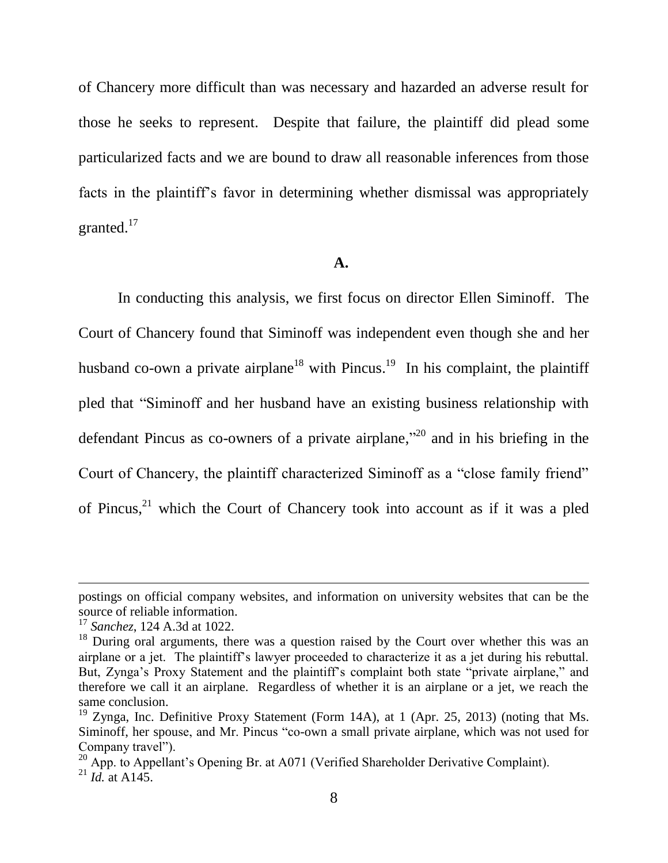of Chancery more difficult than was necessary and hazarded an adverse result for those he seeks to represent. Despite that failure, the plaintiff did plead some particularized facts and we are bound to draw all reasonable inferences from those facts in the plaintiff's favor in determining whether dismissal was appropriately granted. $17$ 

#### **A.**

In conducting this analysis, we first focus on director Ellen Siminoff. The Court of Chancery found that Siminoff was independent even though she and her husband co-own a private airplane<sup>18</sup> with Pincus.<sup>19</sup> In his complaint, the plaintiff pled that "Siminoff and her husband have an existing business relationship with defendant Pincus as co-owners of a private airplane,"<sup>20</sup> and in his briefing in the Court of Chancery, the plaintiff characterized Siminoff as a "close family friend" of Pincus, $^{21}$  which the Court of Chancery took into account as if it was a pled

postings on official company websites, and information on university websites that can be the source of reliable information.

<sup>17</sup> *Sanchez*, 124 A.3d at 1022.

<sup>&</sup>lt;sup>18</sup> During oral arguments, there was a question raised by the Court over whether this was an airplane or a jet. The plaintiff's lawyer proceeded to characterize it as a jet during his rebuttal. But, Zynga's Proxy Statement and the plaintiff's complaint both state "private airplane," and therefore we call it an airplane. Regardless of whether it is an airplane or a jet, we reach the same conclusion.

<sup>&</sup>lt;sup>19</sup> Zynga, Inc. Definitive Proxy Statement (Form 14A), at 1 (Apr. 25, 2013) (noting that Ms. Siminoff, her spouse, and Mr. Pincus "co-own a small private airplane, which was not used for Company travel").

<sup>&</sup>lt;sup>20</sup> App. to Appellant's Opening Br. at A071 (Verified Shareholder Derivative Complaint).  $^{21}$  *Id.* at A145.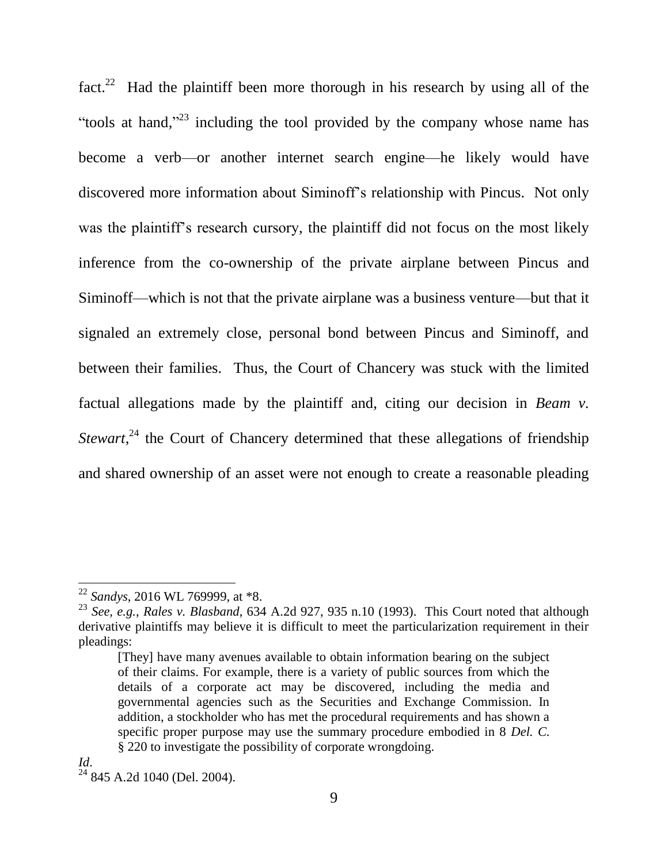fact.<sup>22</sup> Had the plaintiff been more thorough in his research by using all of the "tools at hand,"<sup>23</sup> including the tool provided by the company whose name has become a verb—or another internet search engine—he likely would have discovered more information about Siminoff's relationship with Pincus. Not only was the plaintiff's research cursory, the plaintiff did not focus on the most likely inference from the co-ownership of the private airplane between Pincus and Siminoff—which is not that the private airplane was a business venture—but that it signaled an extremely close, personal bond between Pincus and Siminoff, and between their families. Thus, the Court of Chancery was stuck with the limited factual allegations made by the plaintiff and, citing our decision in *Beam v. Stewart*<sup>24</sup>, the Court of Chancery determined that these allegations of friendship and shared ownership of an asset were not enough to create a reasonable pleading

<sup>22</sup> *Sandys*, 2016 WL 769999, at \*8.

<sup>23</sup> *See, e.g.*, *Rales v. Blasband*, 634 A.2d 927, 935 n.10 (1993). This Court noted that although derivative plaintiffs may believe it is difficult to meet the particularization requirement in their pleadings:

<sup>[</sup>They] have many avenues available to obtain information bearing on the subject of their claims. For example, there is a variety of public sources from which the details of a corporate act may be discovered, including the media and governmental agencies such as the Securities and Exchange Commission. In addition, a stockholder who has met the procedural requirements and has shown a specific proper purpose may use the summary procedure embodied in 8 *Del. C.* § 220 to investigate the possibility of corporate wrongdoing.

<sup>24</sup> 845 A.2d 1040 (Del. 2004).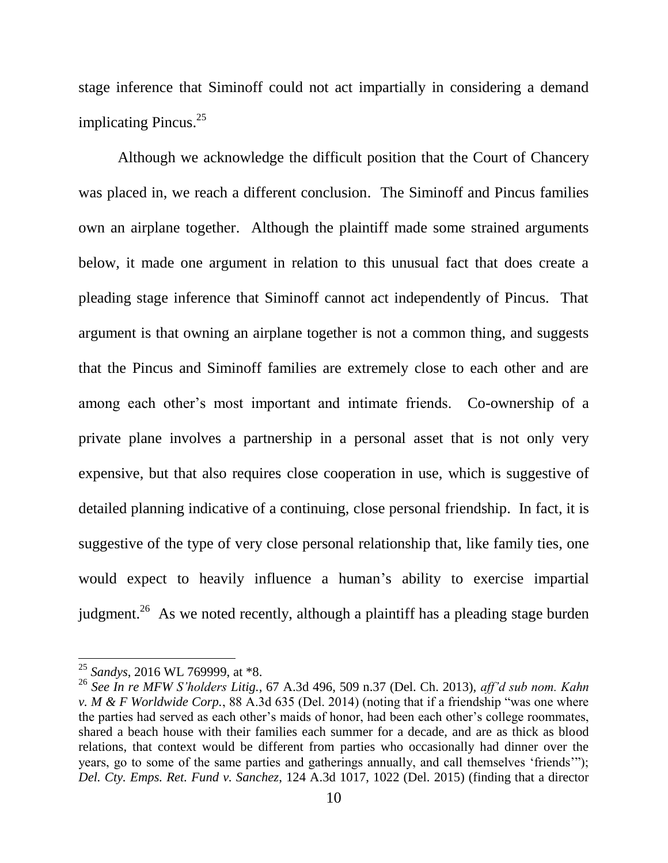stage inference that Siminoff could not act impartially in considering a demand implicating Pincus.<sup>25</sup>

Although we acknowledge the difficult position that the Court of Chancery was placed in, we reach a different conclusion. The Siminoff and Pincus families own an airplane together. Although the plaintiff made some strained arguments below, it made one argument in relation to this unusual fact that does create a pleading stage inference that Siminoff cannot act independently of Pincus. That argument is that owning an airplane together is not a common thing, and suggests that the Pincus and Siminoff families are extremely close to each other and are among each other's most important and intimate friends. Co-ownership of a private plane involves a partnership in a personal asset that is not only very expensive, but that also requires close cooperation in use, which is suggestive of detailed planning indicative of a continuing, close personal friendship. In fact, it is suggestive of the type of very close personal relationship that, like family ties, one would expect to heavily influence a human's ability to exercise impartial judgment.<sup>26</sup> As we noted recently, although a plaintiff has a pleading stage burden

<sup>25</sup> *Sandys*, 2016 WL 769999, at \*8.

<sup>26</sup> *See In re MFW S'holders Litig.*, 67 A.3d 496, 509 n.37 (Del. Ch. 2013), *aff'd sub nom. Kahn v. M & F Worldwide Corp.*, 88 A.3d 635 (Del. 2014) (noting that if a friendship "was one where the parties had served as each other's maids of honor, had been each other's college roommates, shared a beach house with their families each summer for a decade, and are as thick as blood relations, that context would be different from parties who occasionally had dinner over the years, go to some of the same parties and gatherings annually, and call themselves 'friends'"); *Del. Cty. Emps. Ret. Fund v. Sanchez*, 124 A.3d 1017, 1022 (Del. 2015) (finding that a director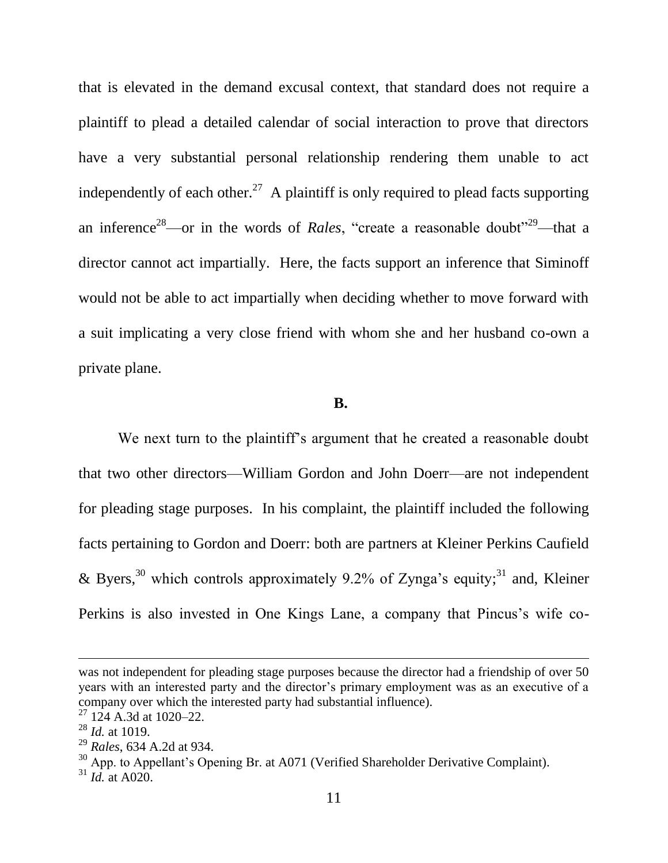that is elevated in the demand excusal context, that standard does not require a plaintiff to plead a detailed calendar of social interaction to prove that directors have a very substantial personal relationship rendering them unable to act independently of each other.<sup>27</sup> A plaintiff is only required to plead facts supporting an inference<sup>28</sup>—or in the words of *Rales*, "create a reasonable doubt"<sup>29</sup>—that a director cannot act impartially. Here, the facts support an inference that Siminoff would not be able to act impartially when deciding whether to move forward with a suit implicating a very close friend with whom she and her husband co-own a private plane.

#### **B.**

We next turn to the plaintiff's argument that he created a reasonable doubt that two other directors—William Gordon and John Doerr—are not independent for pleading stage purposes. In his complaint, the plaintiff included the following facts pertaining to Gordon and Doerr: both are partners at Kleiner Perkins Caufield & Byers,<sup>30</sup> which controls approximately 9.2% of Zynga's equity;<sup>31</sup> and, Kleiner Perkins is also invested in One Kings Lane, a company that Pincus's wife co-

was not independent for pleading stage purposes because the director had a friendship of over 50 years with an interested party and the director's primary employment was as an executive of a company over which the interested party had substantial influence).

 $27$  124 A.3d at 1020–22.

<sup>28</sup> *Id.* at 1019.

<sup>29</sup> *Rales*, 634 A.2d at 934.

<sup>&</sup>lt;sup>30</sup> App. to Appellant's Opening Br. at A071 (Verified Shareholder Derivative Complaint).

 $31$  *Id.* at A020.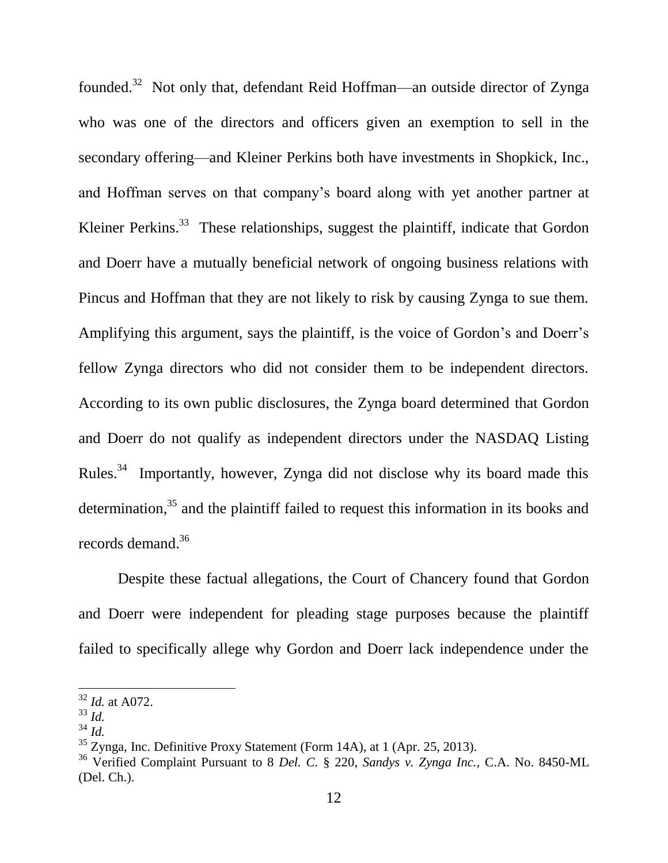founded.<sup>32</sup> Not only that, defendant Reid Hoffman—an outside director of Zynga who was one of the directors and officers given an exemption to sell in the secondary offering—and Kleiner Perkins both have investments in Shopkick, Inc., and Hoffman serves on that company's board along with yet another partner at Kleiner Perkins.<sup>33</sup> These relationships, suggest the plaintiff, indicate that Gordon and Doerr have a mutually beneficial network of ongoing business relations with Pincus and Hoffman that they are not likely to risk by causing Zynga to sue them. Amplifying this argument, says the plaintiff, is the voice of Gordon's and Doerr's fellow Zynga directors who did not consider them to be independent directors. According to its own public disclosures, the Zynga board determined that Gordon and Doerr do not qualify as independent directors under the NASDAQ Listing Rules.<sup>34</sup> Importantly, however, Zynga did not disclose why its board made this determination,<sup>35</sup> and the plaintiff failed to request this information in its books and records demand. 36

Despite these factual allegations, the Court of Chancery found that Gordon and Doerr were independent for pleading stage purposes because the plaintiff failed to specifically allege why Gordon and Doerr lack independence under the

<sup>32</sup> *Id.* at A072.

<sup>33</sup> *Id.*

 $^{34}$  *Id.* 

 $35$  Zynga, Inc. Definitive Proxy Statement (Form 14A), at 1 (Apr. 25, 2013).

<sup>36</sup> Verified Complaint Pursuant to 8 *Del. C.* § 220, *Sandys v. Zynga Inc.*, C.A. No. 8450-ML (Del. Ch.).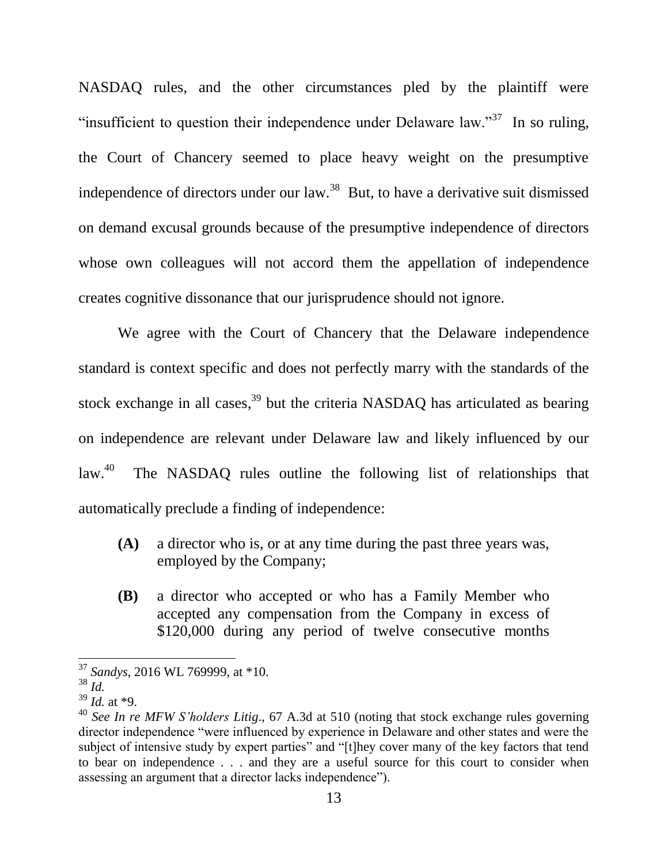NASDAQ rules, and the other circumstances pled by the plaintiff were "insufficient to question their independence under Delaware law."<sup>37</sup> In so ruling, the Court of Chancery seemed to place heavy weight on the presumptive independence of directors under our law.<sup>38</sup> But, to have a derivative suit dismissed on demand excusal grounds because of the presumptive independence of directors whose own colleagues will not accord them the appellation of independence creates cognitive dissonance that our jurisprudence should not ignore.

We agree with the Court of Chancery that the Delaware independence standard is context specific and does not perfectly marry with the standards of the stock exchange in all cases,  $39$  but the criteria NASDAQ has articulated as bearing on independence are relevant under Delaware law and likely influenced by our law. 40 The NASDAQ rules outline the following list of relationships that automatically preclude a finding of independence:

- **(A)** a director who is, or at any time during the past three years was, employed by the Company;
- **(B)** a director who accepted or who has a Family Member who accepted any compensation from the Company in excess of \$120,000 during any period of twelve consecutive months

<sup>37</sup> *Sandys*, 2016 WL 769999, at \*10.

 $38$   $\mathrm{d}$ .

<sup>39</sup> *Id.* at \*9.

<sup>40</sup> *See In re MFW S'holders Litig*., 67 A.3d at 510 (noting that stock exchange rules governing director independence "were influenced by experience in Delaware and other states and were the subject of intensive study by expert parties" and "[t]hey cover many of the key factors that tend to bear on independence . . . and they are a useful source for this court to consider when assessing an argument that a director lacks independence".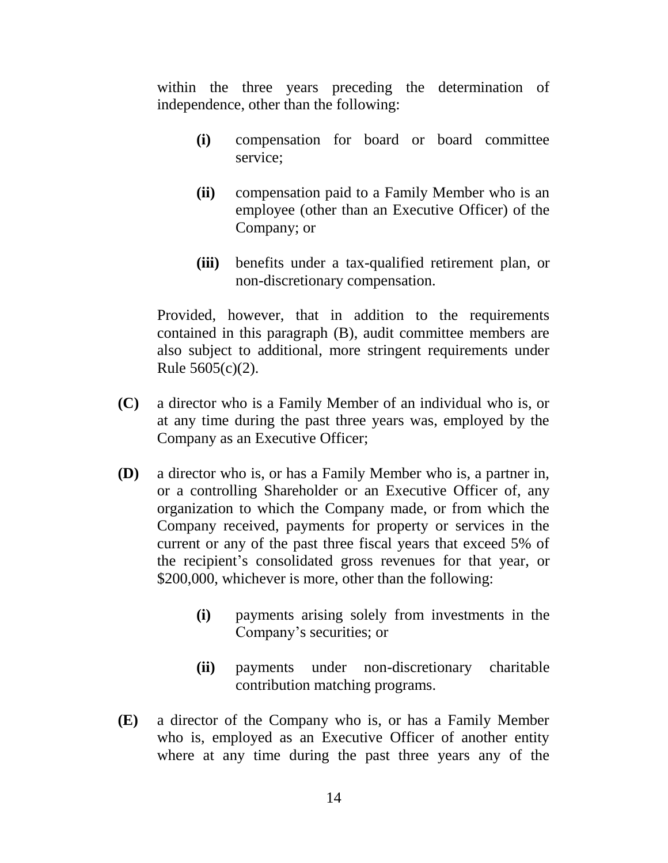within the three years preceding the determination of independence, other than the following:

- **(i)** compensation for board or board committee service;
- **(ii)** compensation paid to a Family Member who is an employee (other than an Executive Officer) of the Company; or
- **(iii)** benefits under a tax-qualified retirement plan, or non-discretionary compensation.

Provided, however, that in addition to the requirements contained in this paragraph (B), audit committee members are also subject to additional, more stringent requirements under Rule 5605(c)(2).

- **(C)** a director who is a Family Member of an individual who is, or at any time during the past three years was, employed by the Company as an Executive Officer;
- **(D)** a director who is, or has a Family Member who is, a partner in, or a controlling Shareholder or an Executive Officer of, any organization to which the Company made, or from which the Company received, payments for property or services in the current or any of the past three fiscal years that exceed 5% of the recipient's consolidated gross revenues for that year, or \$200,000, whichever is more, other than the following:
	- **(i)** payments arising solely from investments in the Company's securities; or
	- **(ii)** payments under non-discretionary charitable contribution matching programs.
- **(E)** a director of the Company who is, or has a Family Member who is, employed as an Executive Officer of another entity where at any time during the past three years any of the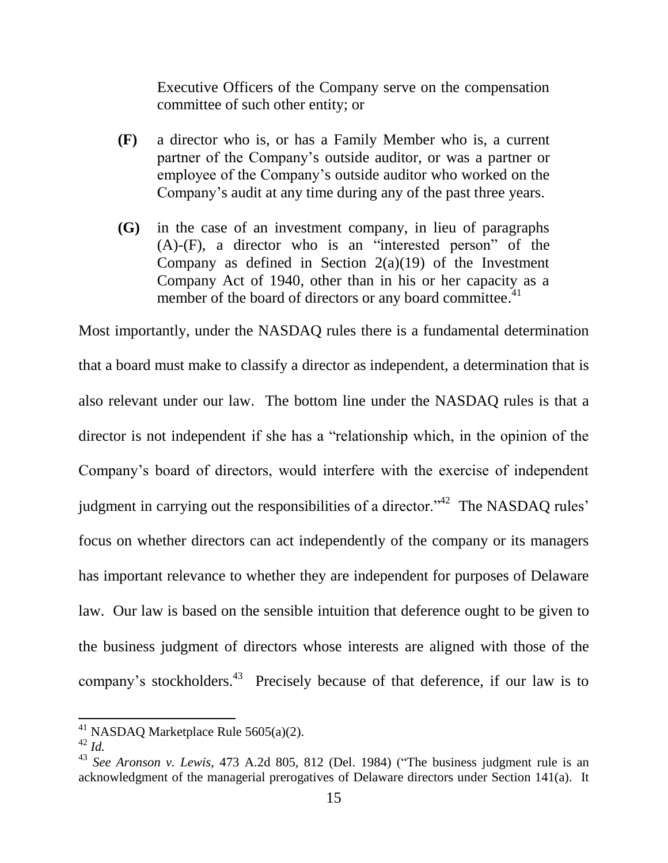Executive Officers of the Company serve on the compensation committee of such other entity; or

- **(F)** a director who is, or has a Family Member who is, a current partner of the Company's outside auditor, or was a partner or employee of the Company's outside auditor who worked on the Company's audit at any time during any of the past three years.
- **(G)** in the case of an investment company, in lieu of paragraphs  $(A)$ - $(F)$ , a director who is an "interested person" of the Company as defined in Section  $2(a)(19)$  of the Investment Company Act of 1940, other than in his or her capacity as a member of the board of directors or any board committee.<sup>41</sup>

Most importantly, under the NASDAQ rules there is a fundamental determination that a board must make to classify a director as independent, a determination that is also relevant under our law. The bottom line under the NASDAQ rules is that a director is not independent if she has a "relationship which, in the opinion of the Company's board of directors, would interfere with the exercise of independent judgment in carrying out the responsibilities of a director.<sup> $342$ </sup> The NASDAQ rules' focus on whether directors can act independently of the company or its managers has important relevance to whether they are independent for purposes of Delaware law. Our law is based on the sensible intuition that deference ought to be given to the business judgment of directors whose interests are aligned with those of the company's stockholders.<sup>43</sup> Precisely because of that deference, if our law is to

 $41$  NASDAQ Marketplace Rule 5605(a)(2).

 $42$  *Id.* 

 $43$  *See Aronson v. Lewis*, 473 A.2d 805, 812 (Del. 1984) ("The business judgment rule is an acknowledgment of the managerial prerogatives of Delaware directors under Section 141(a). It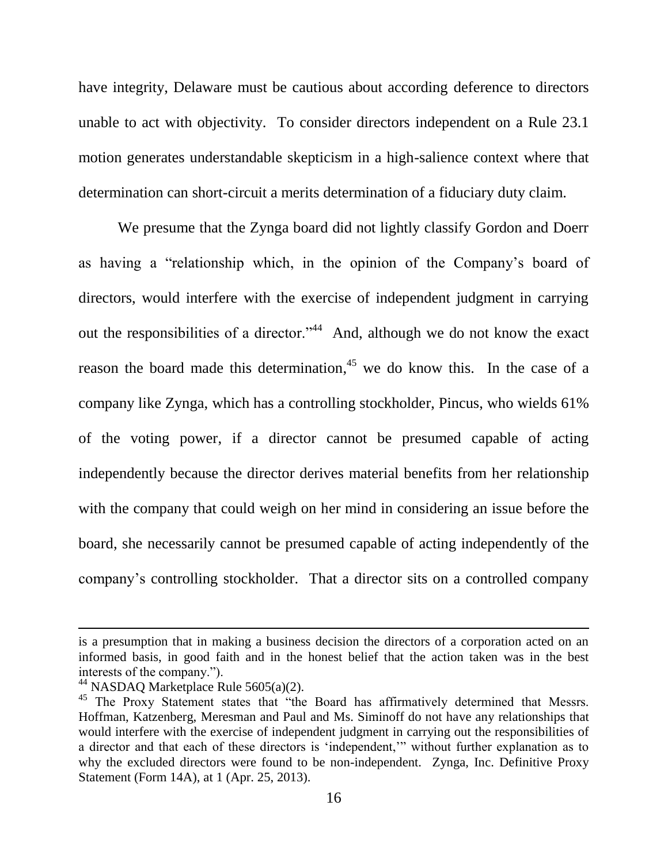have integrity, Delaware must be cautious about according deference to directors unable to act with objectivity. To consider directors independent on a Rule 23.1 motion generates understandable skepticism in a high-salience context where that determination can short-circuit a merits determination of a fiduciary duty claim.

We presume that the Zynga board did not lightly classify Gordon and Doerr as having a "relationship which, in the opinion of the Company's board of directors, would interfere with the exercise of independent judgment in carrying out the responsibilities of a director."<sup>44</sup> And, although we do not know the exact reason the board made this determination,<sup>45</sup> we do know this. In the case of a company like Zynga, which has a controlling stockholder, Pincus, who wields 61% of the voting power, if a director cannot be presumed capable of acting independently because the director derives material benefits from her relationship with the company that could weigh on her mind in considering an issue before the board, she necessarily cannot be presumed capable of acting independently of the company's controlling stockholder. That a director sits on a controlled company

is a presumption that in making a business decision the directors of a corporation acted on an informed basis, in good faith and in the honest belief that the action taken was in the best interests of the company.").

<sup>&</sup>lt;sup>44</sup> NASDAQ Marketplace Rule 5605(a)(2).

<sup>&</sup>lt;sup>45</sup> The Proxy Statement states that "the Board has affirmatively determined that Messrs. Hoffman, Katzenberg, Meresman and Paul and Ms. Siminoff do not have any relationships that would interfere with the exercise of independent judgment in carrying out the responsibilities of a director and that each of these directors is 'independent,'" without further explanation as to why the excluded directors were found to be non-independent. Zynga, Inc. Definitive Proxy Statement (Form 14A), at 1 (Apr. 25, 2013).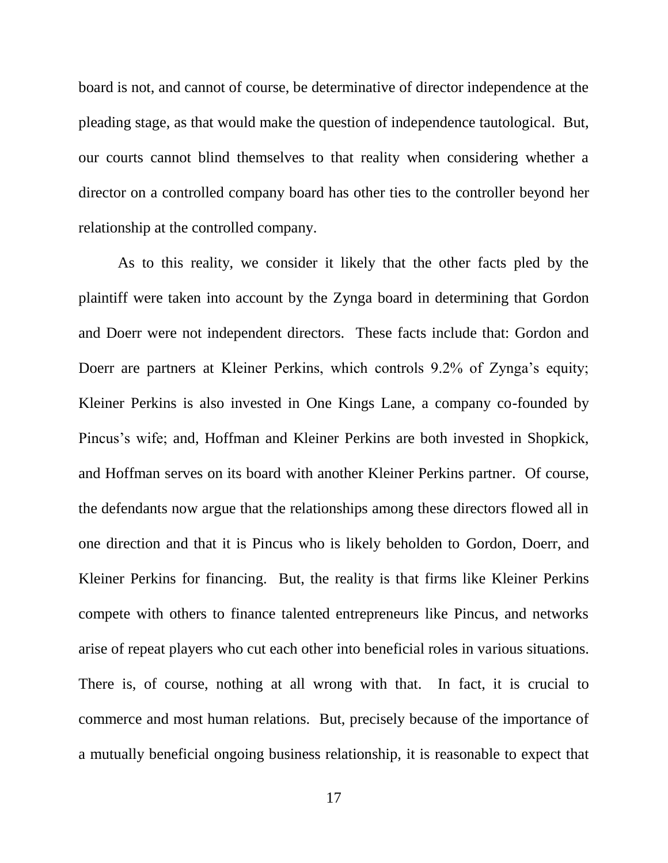board is not, and cannot of course, be determinative of director independence at the pleading stage, as that would make the question of independence tautological. But, our courts cannot blind themselves to that reality when considering whether a director on a controlled company board has other ties to the controller beyond her relationship at the controlled company.

As to this reality, we consider it likely that the other facts pled by the plaintiff were taken into account by the Zynga board in determining that Gordon and Doerr were not independent directors. These facts include that: Gordon and Doerr are partners at Kleiner Perkins, which controls 9.2% of Zynga's equity; Kleiner Perkins is also invested in One Kings Lane, a company co-founded by Pincus's wife; and, Hoffman and Kleiner Perkins are both invested in Shopkick, and Hoffman serves on its board with another Kleiner Perkins partner. Of course, the defendants now argue that the relationships among these directors flowed all in one direction and that it is Pincus who is likely beholden to Gordon, Doerr, and Kleiner Perkins for financing. But, the reality is that firms like Kleiner Perkins compete with others to finance talented entrepreneurs like Pincus, and networks arise of repeat players who cut each other into beneficial roles in various situations. There is, of course, nothing at all wrong with that. In fact, it is crucial to commerce and most human relations. But, precisely because of the importance of a mutually beneficial ongoing business relationship, it is reasonable to expect that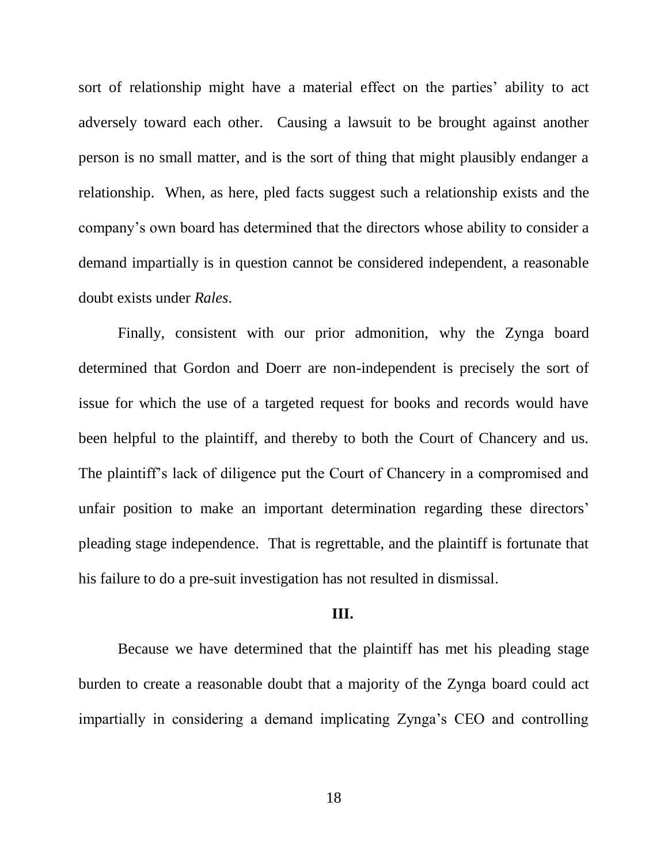sort of relationship might have a material effect on the parties' ability to act adversely toward each other. Causing a lawsuit to be brought against another person is no small matter, and is the sort of thing that might plausibly endanger a relationship. When, as here, pled facts suggest such a relationship exists and the company's own board has determined that the directors whose ability to consider a demand impartially is in question cannot be considered independent, a reasonable doubt exists under *Rales*.

Finally, consistent with our prior admonition, why the Zynga board determined that Gordon and Doerr are non-independent is precisely the sort of issue for which the use of a targeted request for books and records would have been helpful to the plaintiff, and thereby to both the Court of Chancery and us. The plaintiff's lack of diligence put the Court of Chancery in a compromised and unfair position to make an important determination regarding these directors' pleading stage independence. That is regrettable, and the plaintiff is fortunate that his failure to do a pre-suit investigation has not resulted in dismissal.

# **III.**

Because we have determined that the plaintiff has met his pleading stage burden to create a reasonable doubt that a majority of the Zynga board could act impartially in considering a demand implicating Zynga's CEO and controlling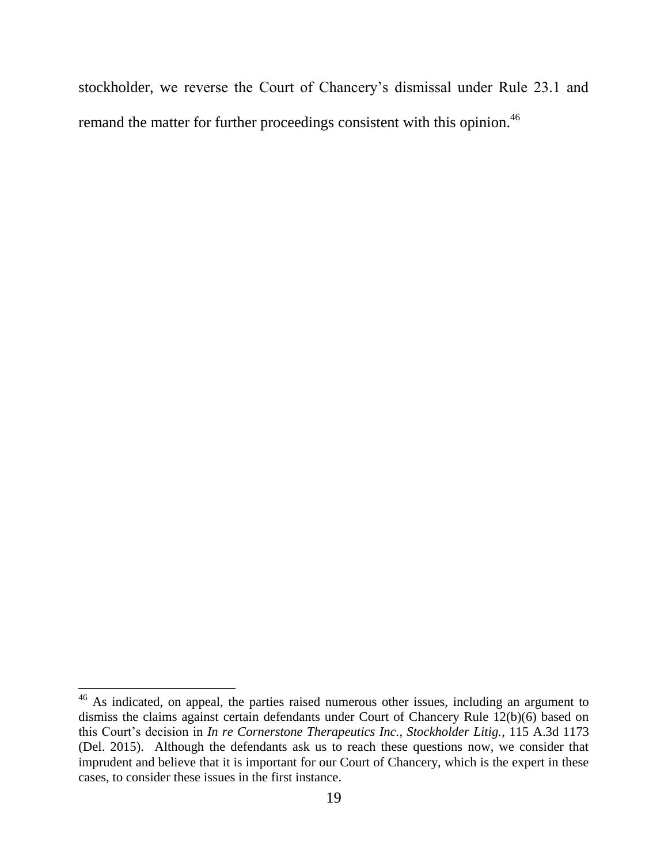stockholder, we reverse the Court of Chancery's dismissal under Rule 23.1 and remand the matter for further proceedings consistent with this opinion.<sup>46</sup>

 $46$  As indicated, on appeal, the parties raised numerous other issues, including an argument to dismiss the claims against certain defendants under Court of Chancery Rule 12(b)(6) based on this Court's decision in *In re Cornerstone Therapeutics Inc., Stockholder Litig.*, 115 A.3d 1173 (Del. 2015). Although the defendants ask us to reach these questions now, we consider that imprudent and believe that it is important for our Court of Chancery, which is the expert in these cases, to consider these issues in the first instance.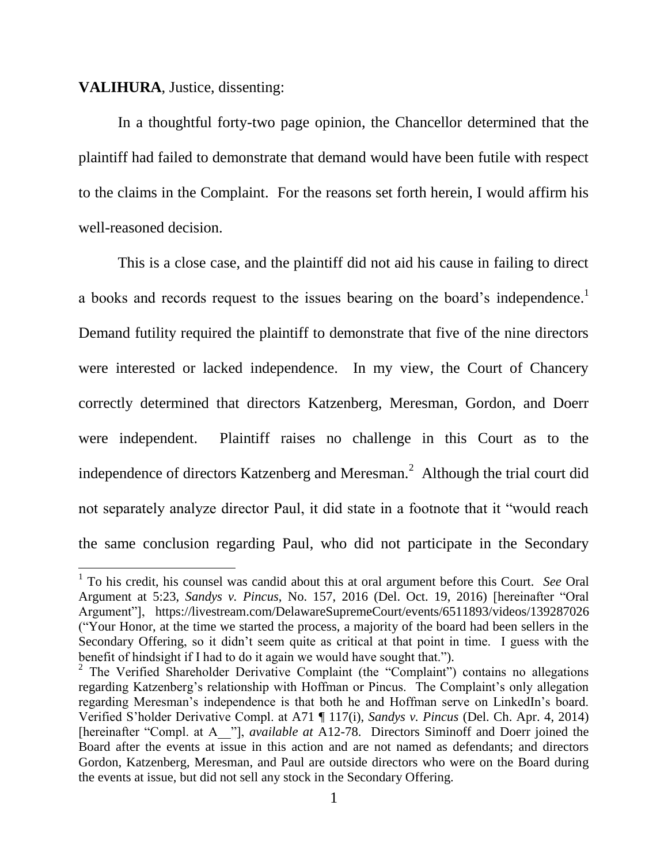### **VALIHURA**, Justice, dissenting:

 $\overline{a}$ 

In a thoughtful forty-two page opinion, the Chancellor determined that the plaintiff had failed to demonstrate that demand would have been futile with respect to the claims in the Complaint. For the reasons set forth herein, I would affirm his well-reasoned decision.

This is a close case, and the plaintiff did not aid his cause in failing to direct a books and records request to the issues bearing on the board's independence.<sup>1</sup> Demand futility required the plaintiff to demonstrate that five of the nine directors were interested or lacked independence. In my view, the Court of Chancery correctly determined that directors Katzenberg, Meresman, Gordon, and Doerr were independent. Plaintiff raises no challenge in this Court as to the independence of directors Katzenberg and Meresman. $^2$  Although the trial court did not separately analyze director Paul, it did state in a footnote that it "would reach the same conclusion regarding Paul, who did not participate in the Secondary

<sup>1</sup> To his credit, his counsel was candid about this at oral argument before this Court. *See* Oral Argument at 5:23, *Sandys v. Pincus*, No. 157, 2016 (Del. Oct. 19, 2016) [hereinafter "Oral Argument"], https://livestream.com/DelawareSupremeCourt/events/6511893/videos/139287026 (―Your Honor, at the time we started the process, a majority of the board had been sellers in the Secondary Offering, so it didn't seem quite as critical at that point in time. I guess with the benefit of hindsight if I had to do it again we would have sought that.").

<sup>&</sup>lt;sup>2</sup> The Verified Shareholder Derivative Complaint (the "Complaint") contains no allegations regarding Katzenberg's relationship with Hoffman or Pincus. The Complaint's only allegation regarding Meresman's independence is that both he and Hoffman serve on LinkedIn's board. Verified S'holder Derivative Compl. at A71 ¶ 117(i), *Sandys v. Pincus* (Del. Ch. Apr. 4, 2014) [hereinafter "Compl. at A\_\_"], *available at* A12-78. Directors Siminoff and Doerr joined the Board after the events at issue in this action and are not named as defendants; and directors Gordon, Katzenberg, Meresman, and Paul are outside directors who were on the Board during the events at issue, but did not sell any stock in the Secondary Offering.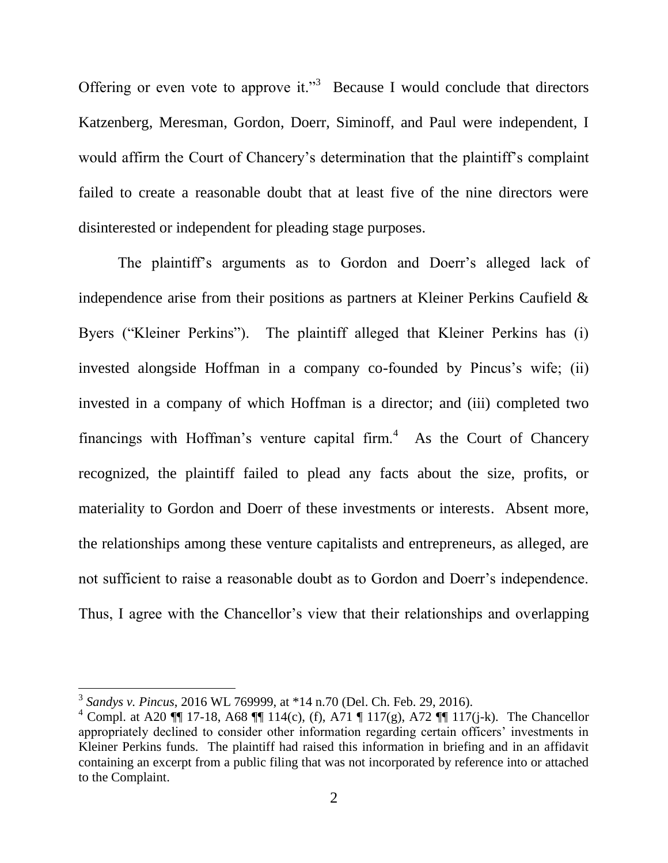Offering or even vote to approve it."<sup>3</sup> Because I would conclude that directors Katzenberg, Meresman, Gordon, Doerr, Siminoff, and Paul were independent, I would affirm the Court of Chancery's determination that the plaintiff's complaint failed to create a reasonable doubt that at least five of the nine directors were disinterested or independent for pleading stage purposes.

The plaintiff's arguments as to Gordon and Doerr's alleged lack of independence arise from their positions as partners at Kleiner Perkins Caufield & Byers ("Kleiner Perkins"). The plaintiff alleged that Kleiner Perkins has (i) invested alongside Hoffman in a company co-founded by Pincus's wife; (ii) invested in a company of which Hoffman is a director; and (iii) completed two financings with Hoffman's venture capital firm. $4$  As the Court of Chancery recognized, the plaintiff failed to plead any facts about the size, profits, or materiality to Gordon and Doerr of these investments or interests. Absent more, the relationships among these venture capitalists and entrepreneurs, as alleged, are not sufficient to raise a reasonable doubt as to Gordon and Doerr's independence. Thus, I agree with the Chancellor's view that their relationships and overlapping

 3 *Sandys v. Pincus*, 2016 WL 769999, at \*14 n.70 (Del. Ch. Feb. 29, 2016).

<sup>&</sup>lt;sup>4</sup> Compl. at A20  $\P$  17-18, A68  $\P$  114(c), (f), A71  $\P$  117(g), A72  $\P$  117(j-k). The Chancellor appropriately declined to consider other information regarding certain officers' investments in Kleiner Perkins funds. The plaintiff had raised this information in briefing and in an affidavit containing an excerpt from a public filing that was not incorporated by reference into or attached to the Complaint.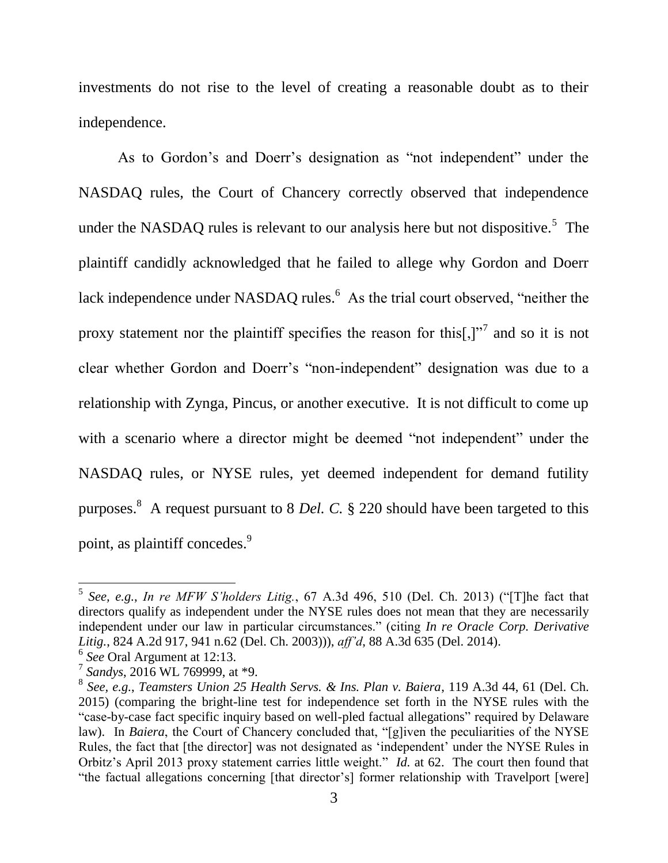investments do not rise to the level of creating a reasonable doubt as to their independence.

As to Gordon's and Doerr's designation as "not independent" under the NASDAQ rules, the Court of Chancery correctly observed that independence under the NASDAQ rules is relevant to our analysis here but not dispositive.<sup>5</sup> The plaintiff candidly acknowledged that he failed to allege why Gordon and Doerr lack independence under NASDAQ rules.<sup>6</sup> As the trial court observed, "neither the proxy statement nor the plaintiff specifies the reason for this[,] $\cdot$ <sup>7</sup> and so it is not clear whether Gordon and Doerr's "non-independent" designation was due to a relationship with Zynga, Pincus, or another executive. It is not difficult to come up with a scenario where a director might be deemed "not independent" under the NASDAQ rules, or NYSE rules, yet deemed independent for demand futility purposes. 8 A request pursuant to 8 *Del. C.* § 220 should have been targeted to this point, as plaintiff concedes.<sup>9</sup>

<sup>&</sup>lt;sup>5</sup> See, e.g., *In re MFW S'holders Litig.*, 67 A.3d 496, 510 (Del. Ch. 2013) ("[T]he fact that directors qualify as independent under the NYSE rules does not mean that they are necessarily independent under our law in particular circumstances.‖ (citing *In re Oracle Corp. Derivative Litig.*, 824 A.2d 917, 941 n.62 (Del. Ch. 2003))), *aff'd*, 88 A.3d 635 (Del. 2014).

<sup>6</sup> *See* Oral Argument at 12:13.

<sup>7</sup> *Sandys*, 2016 WL 769999, at \*9.

<sup>8</sup> *See, e.g.*, *Teamsters Union 25 Health Servs. & Ins. Plan v. Baiera*, 119 A.3d 44, 61 (Del. Ch. 2015) (comparing the bright-line test for independence set forth in the NYSE rules with the "case-by-case fact specific inquiry based on well-pled factual allegations" required by Delaware law). In *Baiera*, the Court of Chancery concluded that, "[g]iven the peculiarities of the NYSE Rules, the fact that [the director] was not designated as 'independent' under the NYSE Rules in Orbitz's April 2013 proxy statement carries little weight." *Id.* at 62. The court then found that "the factual allegations concerning [that director's] former relationship with Travelport [were]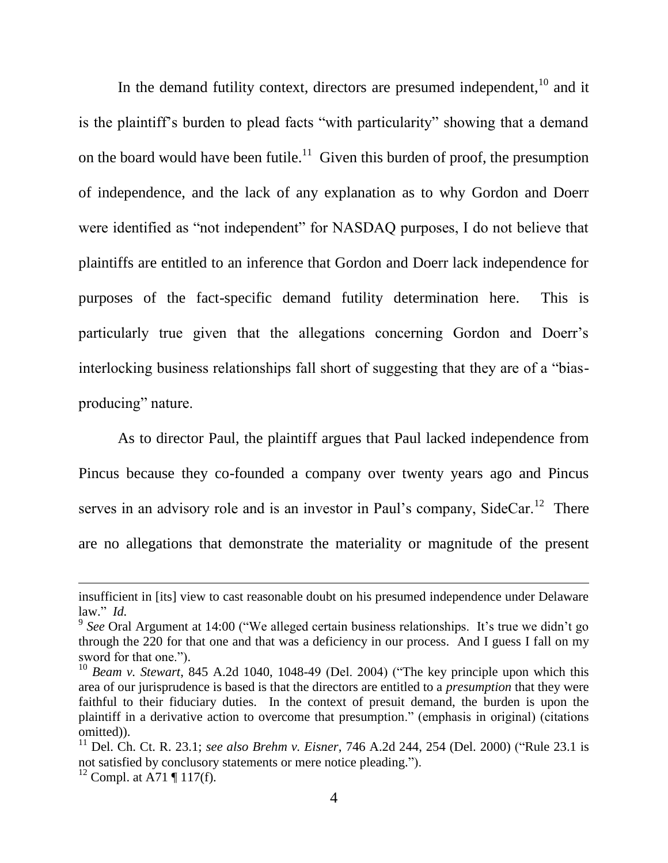In the demand futility context, directors are presumed independent, $10$  and it is the plaintiff's burden to plead facts "with particularity" showing that a demand on the board would have been futile.<sup>11</sup> Given this burden of proof, the presumption of independence, and the lack of any explanation as to why Gordon and Doerr were identified as "not independent" for NASDAQ purposes, I do not believe that plaintiffs are entitled to an inference that Gordon and Doerr lack independence for purposes of the fact-specific demand futility determination here. This is particularly true given that the allegations concerning Gordon and Doerr's interlocking business relationships fall short of suggesting that they are of a "biasproducing" nature.

As to director Paul, the plaintiff argues that Paul lacked independence from Pincus because they co-founded a company over twenty years ago and Pincus serves in an advisory role and is an investor in Paul's company, SideCar.<sup>12</sup> There are no allegations that demonstrate the materiality or magnitude of the present

insufficient in [its] view to cast reasonable doubt on his presumed independence under Delaware law.‖ *Id.*

<sup>&</sup>lt;sup>9</sup> See Oral Argument at 14:00 ("We alleged certain business relationships. It's true we didn't go through the 220 for that one and that was a deficiency in our process. And I guess I fall on my sword for that one.").

 $10$  *Beam v. Stewart*, 845 A.2d 1040, 1048-49 (Del. 2004) ("The key principle upon which this area of our jurisprudence is based is that the directors are entitled to a *presumption* that they were faithful to their fiduciary duties. In the context of presuit demand, the burden is upon the plaintiff in a derivative action to overcome that presumption." (emphasis in original) (citations omitted)).

<sup>&</sup>lt;sup>11</sup> Del. Ch. Ct. R. 23.1; *see also Brehm v. Eisner*, 746 A.2d 244, 254 (Del. 2000) ("Rule 23.1 is not satisfied by conclusory statements or mere notice pleading.").

<sup>&</sup>lt;sup>12</sup> Compl. at A71 ¶ 117(f).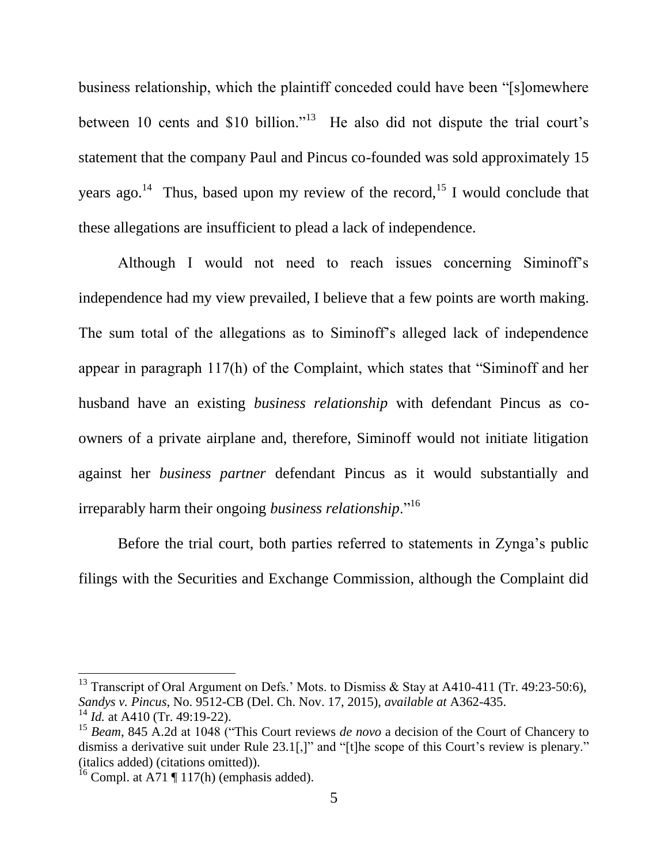business relationship, which the plaintiff conceded could have been "[s]omewhere between 10 cents and \$10 billion."<sup>13</sup> He also did not dispute the trial court's statement that the company Paul and Pincus co-founded was sold approximately 15 years ago.<sup>14</sup> Thus, based upon my review of the record,<sup>15</sup> I would conclude that these allegations are insufficient to plead a lack of independence.

Although I would not need to reach issues concerning Siminoff's independence had my view prevailed, I believe that a few points are worth making. The sum total of the allegations as to Siminoff's alleged lack of independence appear in paragraph  $117(h)$  of the Complaint, which states that "Siminoff and her husband have an existing *business relationship* with defendant Pincus as coowners of a private airplane and, therefore, Siminoff would not initiate litigation against her *business partner* defendant Pincus as it would substantially and irreparably harm their ongoing *business relationship*."<sup>16</sup>

Before the trial court, both parties referred to statements in Zynga's public filings with the Securities and Exchange Commission, although the Complaint did

<sup>&</sup>lt;sup>13</sup> Transcript of Oral Argument on Defs.' Mots. to Dismiss & Stay at A410-411 (Tr. 49:23-50:6), *Sandys v. Pincus*, No. 9512-CB (Del. Ch. Nov. 17, 2015), *available at* A362-435.

<sup>&</sup>lt;sup>14</sup> *Id.* at A410 (Tr. 49:19-22).

<sup>&</sup>lt;sup>15</sup> *Beam*, 845 A.2d at 1048 ("This Court reviews *de novo* a decision of the Court of Chancery to dismiss a derivative suit under Rule  $23.1$ [,]" and "[t]he scope of this Court's review is plenary." (italics added) (citations omitted)).

<sup>&</sup>lt;sup>16</sup> Compl. at A71  $\P$  117(h) (emphasis added).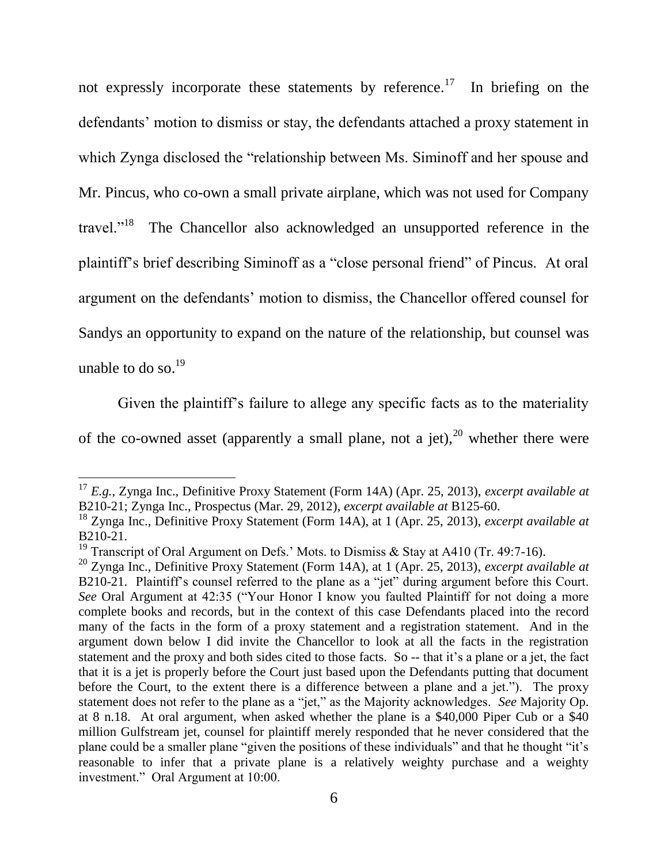not expressly incorporate these statements by reference.<sup>17</sup> In briefing on the defendants' motion to dismiss or stay, the defendants attached a proxy statement in which Zynga disclosed the "relationship between Ms. Siminoff and her spouse and Mr. Pincus, who co-own a small private airplane, which was not used for Company travel."<sup>18</sup> The Chancellor also acknowledged an unsupported reference in the plaintiff's brief describing Siminoff as a "close personal friend" of Pincus. At oral argument on the defendants' motion to dismiss, the Chancellor offered counsel for Sandys an opportunity to expand on the nature of the relationship, but counsel was unable to do so. $^{19}$ 

Given the plaintiff's failure to allege any specific facts as to the materiality of the co-owned asset (apparently a small plane, not a jet),  $20$  whether there were

<sup>17</sup> *E.g.*, Zynga Inc., Definitive Proxy Statement (Form 14A) (Apr. 25, 2013), *excerpt available at*  B210-21; Zynga Inc., Prospectus (Mar. 29, 2012), *excerpt available at* B125-60.

<sup>18</sup> Zynga Inc., Definitive Proxy Statement (Form 14A), at 1 (Apr. 25, 2013), *excerpt available at*  B210-21.

<sup>&</sup>lt;sup>19</sup> Transcript of Oral Argument on Defs.' Mots. to Dismiss & Stay at A410 (Tr. 49:7-16).

<sup>20</sup> Zynga Inc., Definitive Proxy Statement (Form 14A), at 1 (Apr. 25, 2013), *excerpt available at*  B210-21. Plaintiff's counsel referred to the plane as a "jet" during argument before this Court. *See* Oral Argument at 42:35 ("Your Honor I know you faulted Plaintiff for not doing a more complete books and records, but in the context of this case Defendants placed into the record many of the facts in the form of a proxy statement and a registration statement. And in the argument down below I did invite the Chancellor to look at all the facts in the registration statement and the proxy and both sides cited to those facts. So -- that it's a plane or a jet, the fact that it is a jet is properly before the Court just based upon the Defendants putting that document before the Court, to the extent there is a difference between a plane and a jet."). The proxy statement does not refer to the plane as a "jet," as the Majority acknowledges. *See* Majority Op. at 8 n.18. At oral argument, when asked whether the plane is a \$40,000 Piper Cub or a \$40 million Gulfstream jet, counsel for plaintiff merely responded that he never considered that the plane could be a smaller plane "given the positions of these individuals" and that he thought "it's reasonable to infer that a private plane is a relatively weighty purchase and a weighty investment." Oral Argument at 10:00.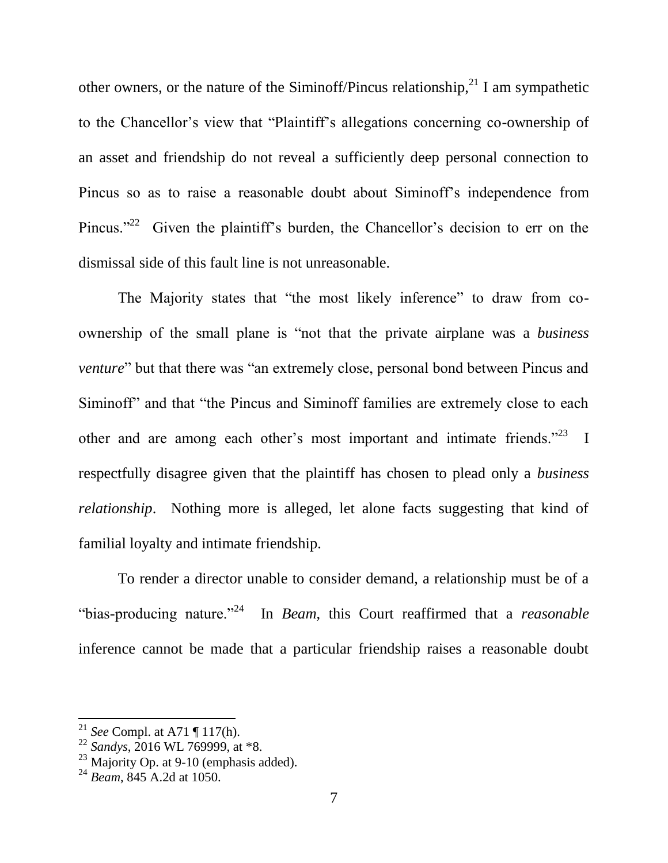other owners, or the nature of the Siminoff/Pincus relationship,<sup>21</sup> I am sympathetic to the Chancellor's view that "Plaintiff's allegations concerning co-ownership of an asset and friendship do not reveal a sufficiently deep personal connection to Pincus so as to raise a reasonable doubt about Siminoff's independence from Pincus."<sup>22</sup> Given the plaintiff's burden, the Chancellor's decision to err on the dismissal side of this fault line is not unreasonable.

The Majority states that "the most likely inference" to draw from coownership of the small plane is "not that the private airplane was a *business venture*" but that there was "an extremely close, personal bond between Pincus and Siminoff<sup>?</sup> and that "the Pincus and Siminoff families are extremely close to each other and are among each other's most important and intimate friends. $1^{23}$  I respectfully disagree given that the plaintiff has chosen to plead only a *business relationship*. Nothing more is alleged, let alone facts suggesting that kind of familial loyalty and intimate friendship.

To render a director unable to consider demand, a relationship must be of a "bias-producing nature."<sup>24</sup> In *Beam*, this Court reaffirmed that a *reasonable* inference cannot be made that a particular friendship raises a reasonable doubt

<sup>21</sup> *See* Compl. at A71 ¶ 117(h).

<sup>22</sup> *Sandys*, 2016 WL 769999, at \*8.

 $23$  Majority Op. at 9-10 (emphasis added).

<sup>24</sup> *Beam*, 845 A.2d at 1050.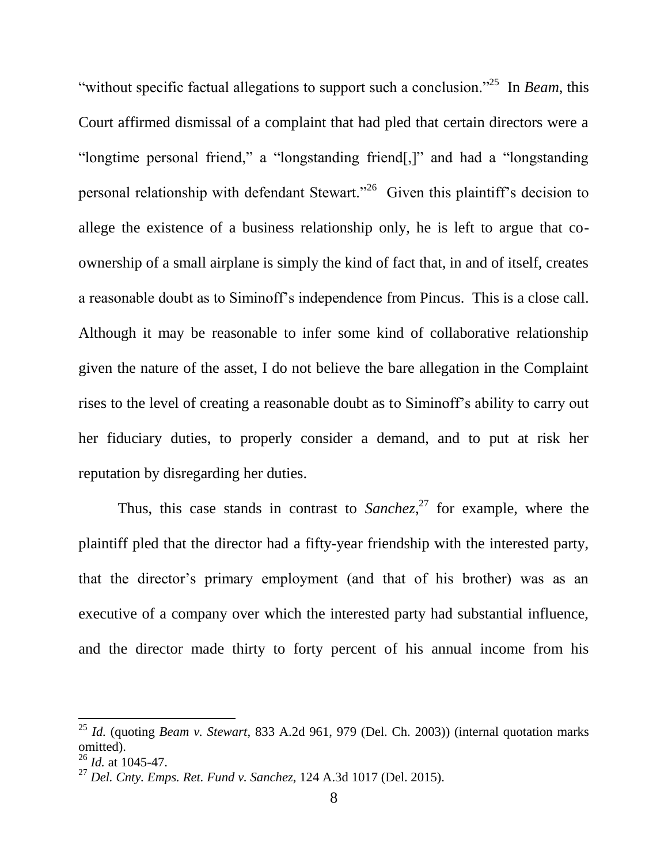"without specific factual allegations to support such a conclusion."<sup>25</sup> In *Beam*, this Court affirmed dismissal of a complaint that had pled that certain directors were a "longtime personal friend," a "longstanding friend[,]" and had a "longstanding personal relationship with defendant Stewart."<sup>26</sup> Given this plaintiff's decision to allege the existence of a business relationship only, he is left to argue that coownership of a small airplane is simply the kind of fact that, in and of itself, creates a reasonable doubt as to Siminoff's independence from Pincus. This is a close call. Although it may be reasonable to infer some kind of collaborative relationship given the nature of the asset, I do not believe the bare allegation in the Complaint rises to the level of creating a reasonable doubt as to Siminoff's ability to carry out her fiduciary duties, to properly consider a demand, and to put at risk her reputation by disregarding her duties.

Thus, this case stands in contrast to *Sanchez*, <sup>27</sup> for example, where the plaintiff pled that the director had a fifty-year friendship with the interested party, that the director's primary employment (and that of his brother) was as an executive of a company over which the interested party had substantial influence, and the director made thirty to forty percent of his annual income from his

<sup>25</sup> *Id.* (quoting *Beam v. Stewart*, 833 A.2d 961, 979 (Del. Ch. 2003)) (internal quotation marks omitted).

<sup>26</sup> *Id.* at 1045-47.

<sup>27</sup> *Del. Cnty. Emps. Ret. Fund v. Sanchez*, 124 A.3d 1017 (Del. 2015).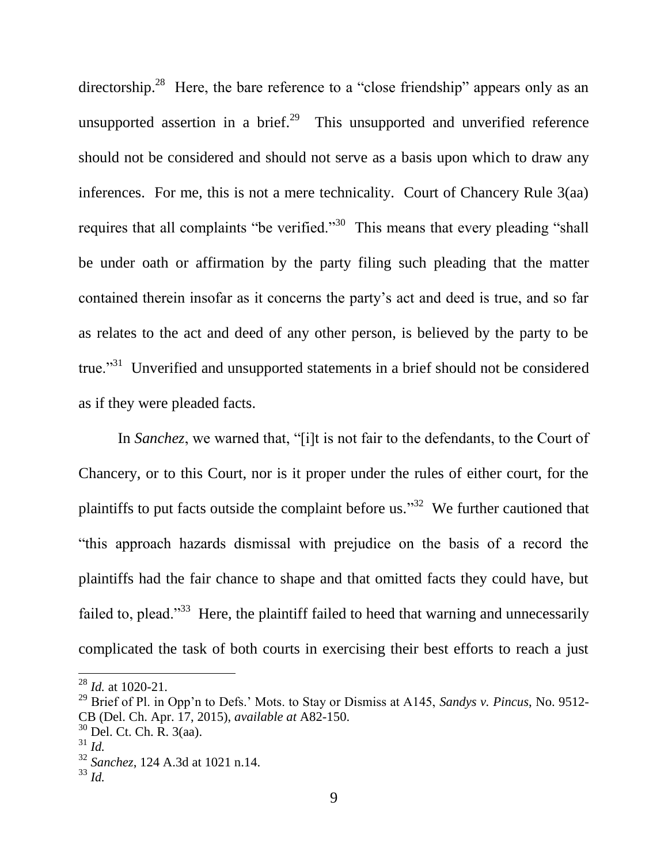directorship.<sup>28</sup> Here, the bare reference to a "close friendship" appears only as an unsupported assertion in a brief.<sup>29</sup> This unsupported and unverified reference should not be considered and should not serve as a basis upon which to draw any inferences. For me, this is not a mere technicality. Court of Chancery Rule 3(aa) requires that all complaints "be verified."<sup>30</sup> This means that every pleading "shall be under oath or affirmation by the party filing such pleading that the matter contained therein insofar as it concerns the party's act and deed is true, and so far as relates to the act and deed of any other person, is believed by the party to be true."<sup>31</sup> Unverified and unsupported statements in a brief should not be considered as if they were pleaded facts.

In *Sanchez*, we warned that, "[i]t is not fair to the defendants, to the Court of Chancery, or to this Court, nor is it proper under the rules of either court, for the plaintiffs to put facts outside the complaint before us.<sup>33</sup> We further cautioned that ―this approach hazards dismissal with prejudice on the basis of a record the plaintiffs had the fair chance to shape and that omitted facts they could have, but failed to, plead."<sup>33</sup> Here, the plaintiff failed to heed that warning and unnecessarily complicated the task of both courts in exercising their best efforts to reach a just

<sup>28</sup> *Id.* at 1020-21.

<sup>29</sup> Brief of Pl. in Opp'n to Defs.' Mots. to Stay or Dismiss at A145, *Sandys v. Pincus*, No. 9512- CB (Del. Ch. Apr. 17, 2015), *available at* A82-150.

 $30$  Del. Ct. Ch. R.  $3(aa)$ .

<sup>31</sup> *Id.*

<sup>32</sup> *Sanchez*, 124 A.3d at 1021 n.14.

<sup>33</sup> *Id.*